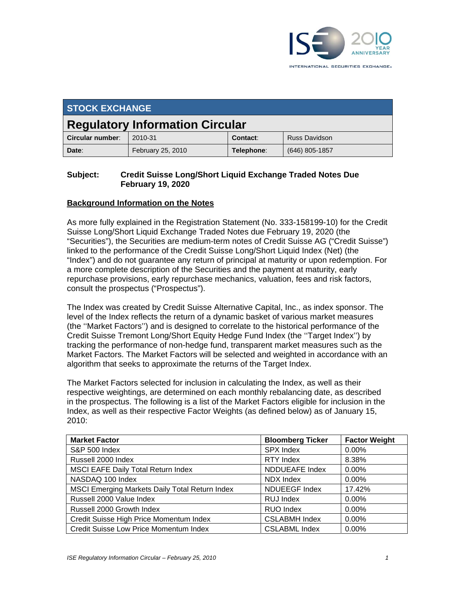

| <b>STOCK EXCHANGE</b>                  |                   |            |                  |  |  |
|----------------------------------------|-------------------|------------|------------------|--|--|
| <b>Regulatory Information Circular</b> |                   |            |                  |  |  |
| Circular number:                       | 2010-31           | Contact:   | Russ Davidson    |  |  |
| Date:                                  | February 25, 2010 | Telephone: | $(646)$ 805-1857 |  |  |

### **Subject: Credit Suisse Long/Short Liquid Exchange Traded Notes Due February 19, 2020**

### **Background Information on the Notes**

As more fully explained in the Registration Statement (No. 333-158199-10) for the Credit Suisse Long/Short Liquid Exchange Traded Notes due February 19, 2020 (the "Securities"), the Securities are medium-term notes of Credit Suisse AG ("Credit Suisse") linked to the performance of the Credit Suisse Long/Short Liquid Index (Net) (the "Index") and do not guarantee any return of principal at maturity or upon redemption. For a more complete description of the Securities and the payment at maturity, early repurchase provisions, early repurchase mechanics, valuation, fees and risk factors, consult the prospectus ("Prospectus").

The Index was created by Credit Suisse Alternative Capital, Inc., as index sponsor. The level of the Index reflects the return of a dynamic basket of various market measures (the ''Market Factors'') and is designed to correlate to the historical performance of the Credit Suisse Tremont Long/Short Equity Hedge Fund Index (the ''Target Index'') by tracking the performance of non-hedge fund, transparent market measures such as the Market Factors. The Market Factors will be selected and weighted in accordance with an algorithm that seeks to approximate the returns of the Target Index.

The Market Factors selected for inclusion in calculating the Index, as well as their respective weightings, are determined on each monthly rebalancing date, as described in the prospectus. The following is a list of the Market Factors eligible for inclusion in the Index, as well as their respective Factor Weights (as defined below) as of January 15, 2010:

| <b>Market Factor</b>                           | <b>Bloomberg Ticker</b> | <b>Factor Weight</b> |
|------------------------------------------------|-------------------------|----------------------|
| S&P 500 Index                                  | <b>SPX Index</b>        | 0.00%                |
| Russell 2000 Index                             | RTY Index               | 8.38%                |
| <b>MSCI EAFE Daily Total Return Index</b>      | <b>NDDUEAFE Index</b>   | 0.00%                |
| NASDAQ 100 Index                               | NDX Index               | 0.00%                |
| MSCI Emerging Markets Daily Total Return Index | <b>NDUEEGF Index</b>    | 17.42%               |
| Russell 2000 Value Index                       | RUJ Index               | 0.00%                |
| Russell 2000 Growth Index                      | RUO Index               | 0.00%                |
| Credit Suisse High Price Momentum Index        | <b>CSLABMH Index</b>    | 0.00%                |
| Credit Suisse Low Price Momentum Index         | <b>CSLABML Index</b>    | 0.00%                |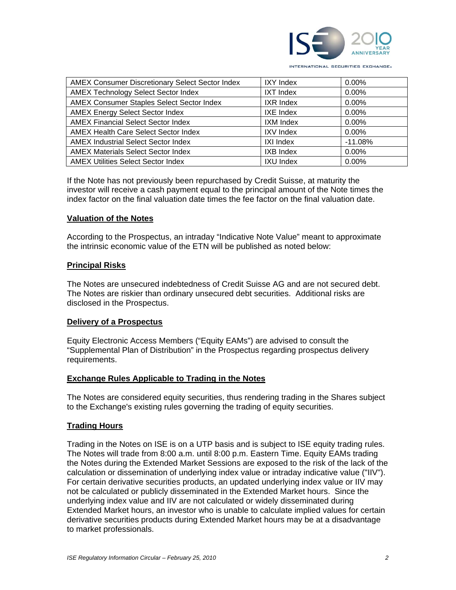

| AMEX Consumer Discretionary Select Sector Index  | <b>IXY Index</b> | 0.00%     |
|--------------------------------------------------|------------------|-----------|
| <b>AMEX Technology Select Sector Index</b>       | <b>IXT Index</b> | 0.00%     |
| <b>AMEX Consumer Staples Select Sector Index</b> | <b>IXR Index</b> | 0.00%     |
| <b>AMEX Energy Select Sector Index</b>           | IXE Index        | 0.00%     |
| <b>AMEX Financial Select Sector Index</b>        | IXM Index        | 0.00%     |
| <b>AMEX Health Care Select Sector Index</b>      | <b>IXV Index</b> | 0.00%     |
| <b>AMEX Industrial Select Sector Index</b>       | <b>IXI Index</b> | $-11.08%$ |
| <b>AMEX Materials Select Sector Index</b>        | <b>IXB Index</b> | 0.00%     |
| <b>AMEX Utilities Select Sector Index</b>        | <b>IXU Index</b> | $0.00\%$  |

If the Note has not previously been repurchased by Credit Suisse, at maturity the investor will receive a cash payment equal to the principal amount of the Note times the index factor on the final valuation date times the fee factor on the final valuation date.

### **Valuation of the Notes**

According to the Prospectus, an intraday "Indicative Note Value" meant to approximate the intrinsic economic value of the ETN will be published as noted below:

#### **Principal Risks**

The Notes are unsecured indebtedness of Credit Suisse AG and are not secured debt. The Notes are riskier than ordinary unsecured debt securities. Additional risks are disclosed in the Prospectus.

#### **Delivery of a Prospectus**

Equity Electronic Access Members ("Equity EAMs") are advised to consult the "Supplemental Plan of Distribution" in the Prospectus regarding prospectus delivery requirements.

#### **Exchange Rules Applicable to Trading in the Notes**

The Notes are considered equity securities, thus rendering trading in the Shares subject to the Exchange's existing rules governing the trading of equity securities.

## **Trading Hours**

Trading in the Notes on ISE is on a UTP basis and is subject to ISE equity trading rules. The Notes will trade from 8:00 a.m. until 8:00 p.m. Eastern Time. Equity EAMs trading the Notes during the Extended Market Sessions are exposed to the risk of the lack of the calculation or dissemination of underlying index value or intraday indicative value ("IIV"). For certain derivative securities products, an updated underlying index value or IIV may not be calculated or publicly disseminated in the Extended Market hours. Since the underlying index value and IIV are not calculated or widely disseminated during Extended Market hours, an investor who is unable to calculate implied values for certain derivative securities products during Extended Market hours may be at a disadvantage to market professionals.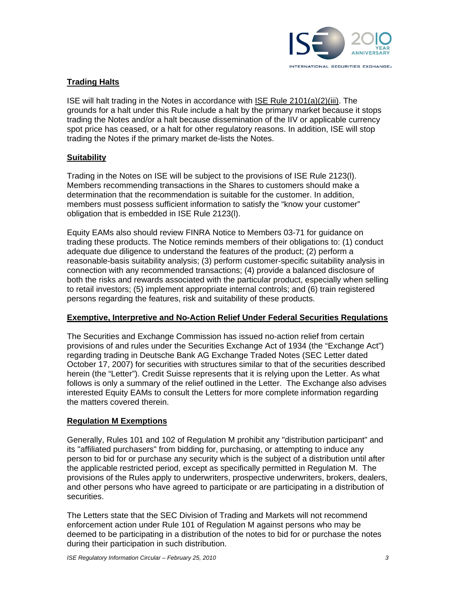

## **Trading Halts**

ISE will halt trading in the Notes in accordance with ISE Rule 2101(a)(2)(iii). The grounds for a halt under this Rule include a halt by the primary market because it stops trading the Notes and/or a halt because dissemination of the IIV or applicable currency spot price has ceased, or a halt for other regulatory reasons. In addition, ISE will stop trading the Notes if the primary market de-lists the Notes.

## **Suitability**

Trading in the Notes on ISE will be subject to the provisions of ISE Rule 2123(l). Members recommending transactions in the Shares to customers should make a determination that the recommendation is suitable for the customer. In addition, members must possess sufficient information to satisfy the "know your customer" obligation that is embedded in ISE Rule 2123(l).

Equity EAMs also should review FINRA Notice to Members 03-71 for guidance on trading these products. The Notice reminds members of their obligations to: (1) conduct adequate due diligence to understand the features of the product; (2) perform a reasonable-basis suitability analysis; (3) perform customer-specific suitability analysis in connection with any recommended transactions; (4) provide a balanced disclosure of both the risks and rewards associated with the particular product, especially when selling to retail investors; (5) implement appropriate internal controls; and (6) train registered persons regarding the features, risk and suitability of these products.

## **Exemptive, Interpretive and No-Action Relief Under Federal Securities Regulations**

The Securities and Exchange Commission has issued no-action relief from certain provisions of and rules under the Securities Exchange Act of 1934 (the "Exchange Act") regarding trading in Deutsche Bank AG Exchange Traded Notes (SEC Letter dated October 17, 2007) for securities with structures similar to that of the securities described herein (the "Letter"). Credit Suisse represents that it is relying upon the Letter. As what follows is only a summary of the relief outlined in the Letter. The Exchange also advises interested Equity EAMs to consult the Letters for more complete information regarding the matters covered therein.

## **Regulation M Exemptions**

Generally, Rules 101 and 102 of Regulation M prohibit any "distribution participant" and its "affiliated purchasers" from bidding for, purchasing, or attempting to induce any person to bid for or purchase any security which is the subject of a distribution until after the applicable restricted period, except as specifically permitted in Regulation M. The provisions of the Rules apply to underwriters, prospective underwriters, brokers, dealers, and other persons who have agreed to participate or are participating in a distribution of securities.

The Letters state that the SEC Division of Trading and Markets will not recommend enforcement action under Rule 101 of Regulation M against persons who may be deemed to be participating in a distribution of the notes to bid for or purchase the notes during their participation in such distribution.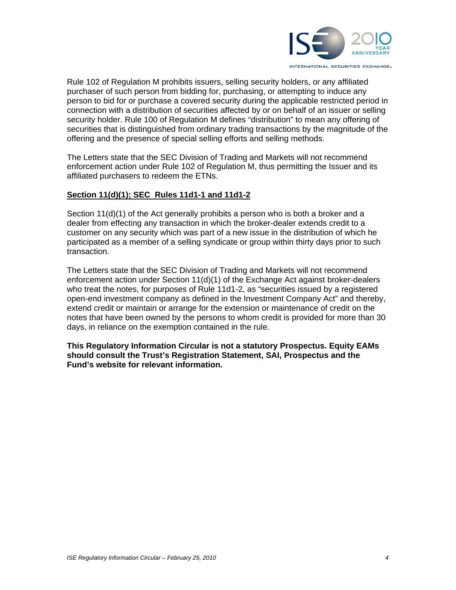

Rule 102 of Regulation M prohibits issuers, selling security holders, or any affiliated purchaser of such person from bidding for, purchasing, or attempting to induce any person to bid for or purchase a covered security during the applicable restricted period in connection with a distribution of securities affected by or on behalf of an issuer or selling security holder. Rule 100 of Regulation M defines "distribution" to mean any offering of securities that is distinguished from ordinary trading transactions by the magnitude of the offering and the presence of special selling efforts and selling methods.

The Letters state that the SEC Division of Trading and Markets will not recommend enforcement action under Rule 102 of Regulation M, thus permitting the Issuer and its affiliated purchasers to redeem the ETNs.

## **Section 11(d)(1); SEC Rules 11d1-1 and 11d1-2**

Section 11(d)(1) of the Act generally prohibits a person who is both a broker and a dealer from effecting any transaction in which the broker-dealer extends credit to a customer on any security which was part of a new issue in the distribution of which he participated as a member of a selling syndicate or group within thirty days prior to such transaction.

The Letters state that the SEC Division of Trading and Markets will not recommend enforcement action under Section 11(d)(1) of the Exchange Act against broker-dealers who treat the notes, for purposes of Rule 11d1-2, as "securities issued by a registered open-end investment company as defined in the Investment Company Act" and thereby, extend credit or maintain or arrange for the extension or maintenance of credit on the notes that have been owned by the persons to whom credit is provided for more than 30 days, in reliance on the exemption contained in the rule.

**This Regulatory Information Circular is not a statutory Prospectus. Equity EAMs should consult the Trust's Registration Statement, SAI, Prospectus and the Fund's website for relevant information.**